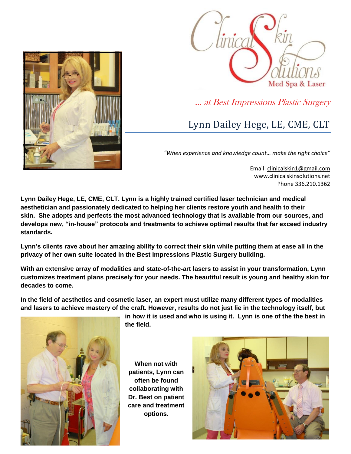



… at Best Impressions Plastic Surgery

## Lynn Dailey Hege, LE, CME, CLT

*"When experience and knowledge count… make the right choice"*

Email: [clinicalskin1@gmail.com](mailto:clinicalskin1@gmail.com) www.clinicalskinsolutions.net Phone 336.210.1362

**Lynn Dailey Hege, LE, CME, CLT. Lynn is a highly trained certified laser technician and medical aesthetician and passionately dedicated to helping her clients restore youth and health to their skin. She adopts and perfects the most advanced technology that is available from our sources, and develops new, "in-house" protocols and treatments to achieve optimal results that far exceed industry standards.** 

**Lynn's clients rave about her amazing ability to correct their skin while putting them at ease all in the privacy of her own suite located in the Best Impressions Plastic Surgery building.**

**With an extensive array of modalities and state-of-the-art lasers to assist in your transformation, Lynn customizes treatment plans precisely for your needs. The beautiful result is young and healthy skin for decades to come.** 

**In the field of aesthetics and cosmetic laser, an expert must utilize many different types of modalities and lasers to achieve mastery of the craft. However, results do not just lie in the technology itself, but** 



**in how it is used and who is using it. Lynn is one of the the best in the field.** 

**When not with patients, Lynn can often be found collaborating with Dr. Best on patient care and treatment options.**